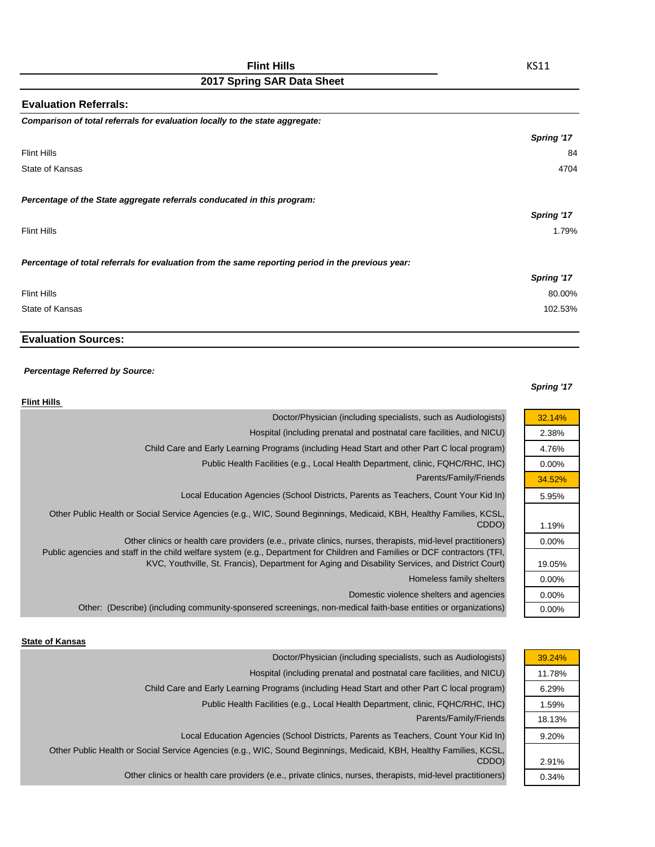| <b>Evaluation Referrals:</b>                                                                      |            |
|---------------------------------------------------------------------------------------------------|------------|
| Comparison of total referrals for evaluation locally to the state aggregate:                      |            |
|                                                                                                   | Spring '17 |
| <b>Flint Hills</b>                                                                                | 84         |
| State of Kansas                                                                                   | 4704       |
| Percentage of the State aggregate referrals conducated in this program:                           |            |
|                                                                                                   | Spring '17 |
| <b>Flint Hills</b>                                                                                | 1.79%      |
| Percentage of total referrals for evaluation from the same reporting period in the previous year: |            |
|                                                                                                   | Spring '17 |
| <b>Flint Hills</b>                                                                                | 80.00%     |
| State of Kansas                                                                                   | 102.53%    |

# **Evaluation Sources:**

## *Percentage Referred by Source:*

### *Spring '17*

| <b>Flint Hills</b>                                                                                                                                                                                                             |          |
|--------------------------------------------------------------------------------------------------------------------------------------------------------------------------------------------------------------------------------|----------|
| Doctor/Physician (including specialists, such as Audiologists)                                                                                                                                                                 | 32.14%   |
| Hospital (including prenatal and postnatal care facilities, and NICU)                                                                                                                                                          | 2.38%    |
| Child Care and Early Learning Programs (including Head Start and other Part C local program)                                                                                                                                   | 4.76%    |
| Public Health Facilities (e.g., Local Health Department, clinic, FQHC/RHC, IHC)                                                                                                                                                | $0.00\%$ |
| Parents/Family/Friends                                                                                                                                                                                                         | 34.52%   |
| Local Education Agencies (School Districts, Parents as Teachers, Count Your Kid In)                                                                                                                                            | 5.95%    |
| Other Public Health or Social Service Agencies (e.g., WIC, Sound Beginnings, Medicaid, KBH, Healthy Families, KCSL,<br>CDDO)                                                                                                   | 1.19%    |
| Other clinics or health care providers (e.e., private clinics, nurses, therapists, mid-level practitioners)                                                                                                                    | $0.00\%$ |
| Public agencies and staff in the child welfare system (e.g., Department for Children and Families or DCF contractors (TFI,<br>KVC, Youthville, St. Francis), Department for Aging and Disability Services, and District Court) | 19.05%   |
| Homeless family shelters                                                                                                                                                                                                       | $0.00\%$ |
| Domestic violence shelters and agencies                                                                                                                                                                                        | $0.00\%$ |
| Other: (Describe) (including community-sponsered screenings, non-medical faith-base entities or organizations)                                                                                                                 | $0.00\%$ |
|                                                                                                                                                                                                                                |          |

### **State of Kansas**

| 39.24% |
|--------|
| 11.78% |
| 6.29%  |
| 1.59%  |
| 18.13% |
| 9.20%  |
|        |
| 2.91%  |
| 0.34%  |
|        |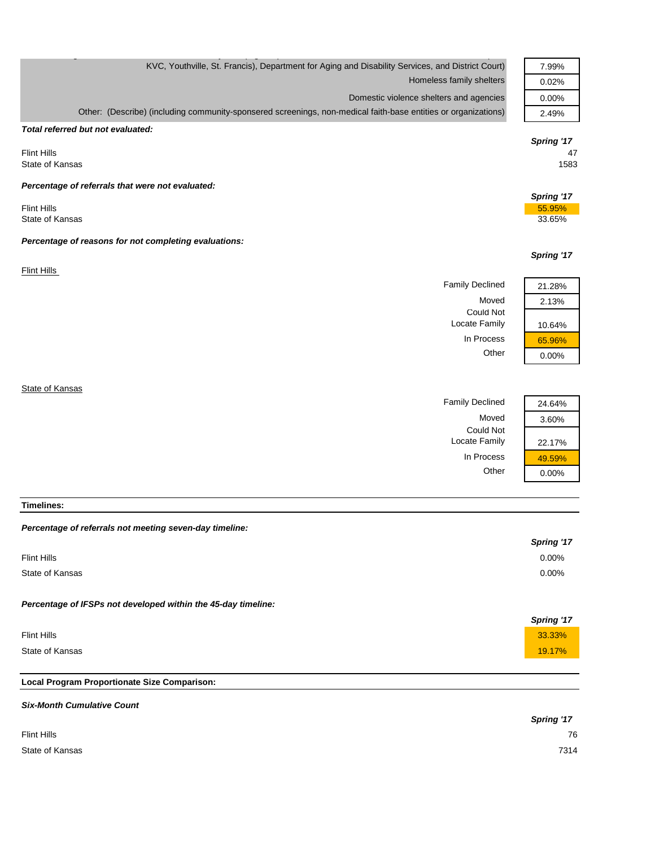| KVC, Youthville, St. Francis), Department for Aging and Disability Services, and District Court)               |            |
|----------------------------------------------------------------------------------------------------------------|------------|
| Homeless family shelters                                                                                       | 0.02%      |
| Domestic violence shelters and agencies                                                                        | 0.00%      |
| Other: (Describe) (including community-sponsered screenings, non-medical faith-base entities or organizations) | 2.49%      |
| Total referred but not evaluated:                                                                              |            |
|                                                                                                                | Spring '17 |
| <b>Flint Hills</b><br>State of Kansas                                                                          | 47<br>1583 |
| Percentage of referrals that were not evaluated:                                                               |            |
|                                                                                                                | Spring '17 |
| <b>Flint Hills</b>                                                                                             | 55.95%     |
| State of Kansas                                                                                                | 33.65%     |
| Percentage of reasons for not completing evaluations:                                                          |            |
|                                                                                                                | Spring '17 |
| Flint Hills                                                                                                    |            |
| <b>Family Declined</b>                                                                                         | 21.28%     |
| Moved                                                                                                          | 2.13%      |
| <b>Could Not</b>                                                                                               |            |
| Locate Family                                                                                                  | 10.64%     |
| In Process                                                                                                     | 65.96%     |
| Other                                                                                                          | 0.00%      |
|                                                                                                                |            |
| State of Kansas                                                                                                |            |

g  $\mathcal{G}$  , p (  $\mathcal{G}$  ,  $\mathcal{G}$  ,  $\mathcal{G}$  ,  $\mathcal{G}$  ,  $\mathcal{G}$  ,  $\mathcal{G}$  ,  $\mathcal{G}$  ,  $\mathcal{G}$  ,  $\mathcal{G}$  ,  $\mathcal{G}$  ,  $\mathcal{G}$  ,  $\mathcal{G}$  ,  $\mathcal{G}$  ,  $\mathcal{G}$  ,  $\mathcal{G}$  ,  $\mathcal{G}$  ,  $\mathcal{G}$  ,  $\mathcal{G}$  ,  $\mathcal{G$ 

*Percentage of referrals not meeting seven-day timeline: Spring '17* Flint Hills 0.00% State of Kansas 0.00% *Percentage of IFSPs not developed within the 45-day timeline: Spring '17* Flint Hills **33.33%** and the set of the set of the set of the set of the set of the set of the set of the set of the set of the set of the set of the set of the set of the set of the set of the set of the set of the set of State of Kansas **19.17%** and the state of Kansas **19.17%** 

Family Declined 24.64%

Locate Family 22.17% In Process  $\frac{1}{49.59\%}$ Other 0.00%

Could Not

Moved 3.60%

**Local Program Proportionate Size Comparison:**

**Timelines:**

| <b>Six-Month Cumulative Count</b> |            |
|-----------------------------------|------------|
|                                   | Spring '17 |
| <b>Flint Hills</b>                | 76         |
| State of Kansas                   | 7314       |